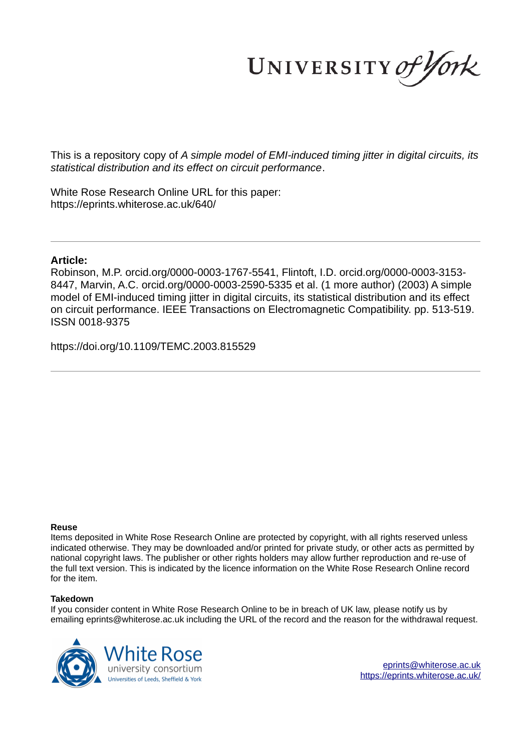UNIVERSITY of York

This is a repository copy of *A simple model of EMI-induced timing jitter in digital circuits, its statistical distribution and its effect on circuit performance*.

White Rose Research Online URL for this paper: https://eprints.whiterose.ac.uk/640/

# **Article:**

Robinson, M.P. orcid.org/0000-0003-1767-5541, Flintoft, I.D. orcid.org/0000-0003-3153- 8447, Marvin, A.C. orcid.org/0000-0003-2590-5335 et al. (1 more author) (2003) A simple model of EMI-induced timing jitter in digital circuits, its statistical distribution and its effect on circuit performance. IEEE Transactions on Electromagnetic Compatibility. pp. 513-519. ISSN 0018-9375

https://doi.org/10.1109/TEMC.2003.815529

# **Reuse**

Items deposited in White Rose Research Online are protected by copyright, with all rights reserved unless indicated otherwise. They may be downloaded and/or printed for private study, or other acts as permitted by national copyright laws. The publisher or other rights holders may allow further reproduction and re-use of the full text version. This is indicated by the licence information on the White Rose Research Online record for the item.

# **Takedown**

If you consider content in White Rose Research Online to be in breach of UK law, please notify us by emailing eprints@whiterose.ac.uk including the URL of the record and the reason for the withdrawal request.

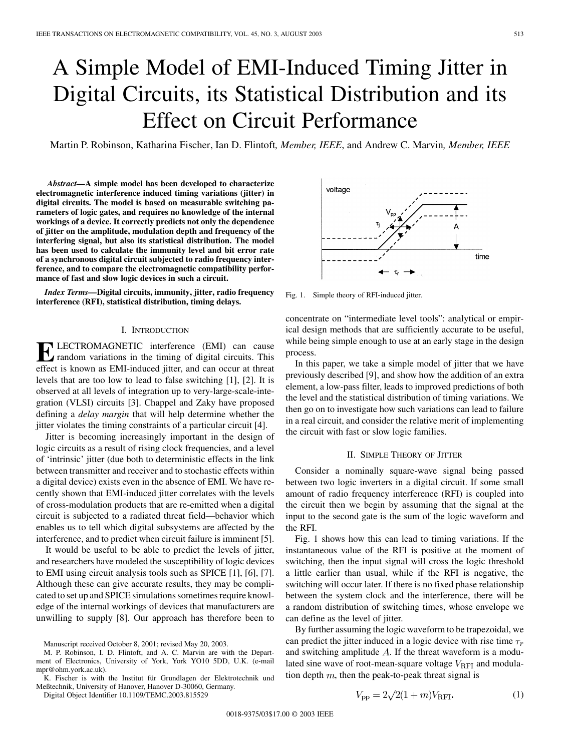# A Simple Model of EMI-Induced Timing Jitter in Digital Circuits, its Statistical Distribution and its Effect on Circuit Performance

Martin P. Robinson, Katharina Fischer, Ian D. Flintoft*, Member, IEEE*, and Andrew C. Marvin*, Member, IEEE*

*Abstract—***A simple model has been developed to characterize electromagnetic interference induced timing variations (jitter) in digital circuits. The model is based on measurable switching parameters of logic gates, and requires no knowledge of the internal workings of a device. It correctly predicts not only the dependence of jitter on the amplitude, modulation depth and frequency of the interfering signal, but also its statistical distribution. The model has been used to calculate the immunity level and bit error rate of a synchronous digital circuit subjected to radio frequency interference, and to compare the electromagnetic compatibility performance of fast and slow logic devices in such a circuit.**

*Index Terms—***Digital circuits, immunity, jitter, radio frequency interference (RFI), statistical distribution, timing delays.**

#### I. INTRODUCTION

**ELECTROMAGNETIC** interference (EMI) can cause<br>effect is known as EMI-induced jitter, and can occur at threat LECTROMAGNETIC interference (EMI) can cause random variations in the timing of digital circuits. This levels that are too low to lead to false switching [1], [2]. It is observed at all levels of integration up to very-large-scale-integration (VLSI) circuits [3]. Chappel and Zaky have proposed defining a *delay margin* that will help determine whether the jitter violates the timing constraints of a particular circuit [4].

Jitter is becoming increasingly important in the design of logic circuits as a result of rising clock frequencies, and a level of 'intrinsic' jitter (due both to deterministic effects in the link between transmitter and receiver and to stochastic effects within a digital device) exists even in the absence of EMI. We have recently shown that EMI-induced jitter correlates with the levels of cross-modulation products that are re-emitted when a digital circuit is subjected to a radiated threat field—behavior which enables us to tell which digital subsystems are affected by the interference, and to predict when circuit failure is imminent [5].

It would be useful to be able to predict the levels of jitter, and researchers have modeled the susceptibility of logic devices to EMI using circuit analysis tools such as SPICE [1], [6], [7]. Although these can give accurate results, they may be complicated to set up and SPICE simulations sometimes require knowledge of the internal workings of devices that manufacturers are unwilling to supply [8]. Our approach has therefore been to



Fig. 1. Simple theory of RFI-induced jitter.

concentrate on "intermediate level tools": analytical or empirical design methods that are sufficiently accurate to be useful, while being simple enough to use at an early stage in the design process.

In this paper, we take a simple model of jitter that we have previously described [9], and show how the addition of an extra element, a low-pass filter, leads to improved predictions of both the level and the statistical distribution of timing variations. We then go on to investigate how such variations can lead to failure in a real circuit, and consider the relative merit of implementing the circuit with fast or slow logic families.

#### II. SIMPLE THEORY OF JITTER

Consider a nominally square-wave signal being passed between two logic inverters in a digital circuit. If some small amount of radio frequency interference (RFI) is coupled into the circuit then we begin by assuming that the signal at the input to the second gate is the sum of the logic waveform and the RFI.

Fig. 1 shows how this can lead to timing variations. If the instantaneous value of the RFI is positive at the moment of switching, then the input signal will cross the logic threshold a little earlier than usual, while if the RFI is negative, the switching will occur later. If there is no fixed phase relationship between the system clock and the interference, there will be a random distribution of switching times, whose envelope we can define as the level of jitter.

By further assuming the logic waveform to be trapezoidal, we can predict the jitter induced in a logic device with rise time  $\tau_r$ and switching amplitude  $A$ . If the threat waveform is a modulated sine wave of root-mean-square voltage  $V_{\text{RFI}}$  and modulation depth  $m$ , then the peak-to-peak threat signal is

$$
V_{\rm pp} = 2\sqrt{2(1+m)V_{\rm RFI}}.
$$
 (1)

Manuscript received October 8, 2001; revised May 20, 2003.

M. P. Robinson, I. D. Flintoft, and A. C. Marvin are with the Department of Electronics, University of York, York YO10 5DD, U.K. (e-mail mpr@ohm.york.ac.uk).

K. Fischer is with the Institut für Grundlagen der Elektrotechnik und Meßtechnik, University of Hanover, Hanover D-30060, Germany.

Digital Object Identifier 10.1109/TEMC.2003.815529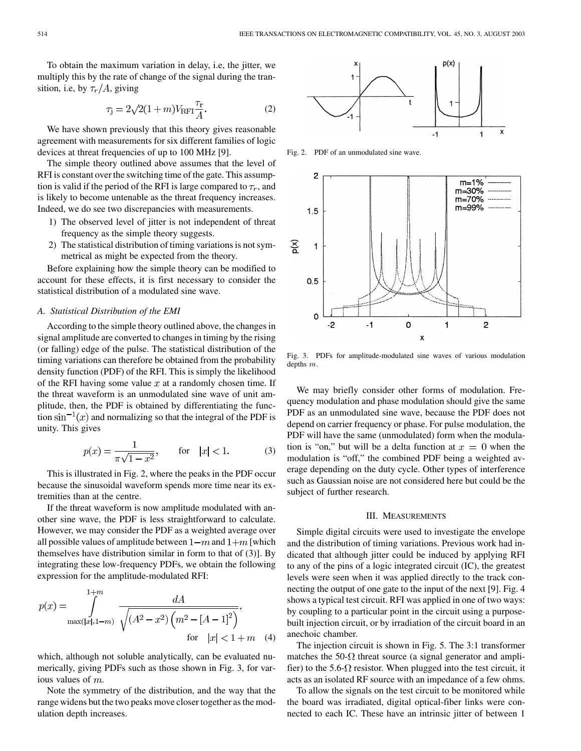To obtain the maximum variation in delay, i.e, the jitter, we multiply this by the rate of change of the signal during the transition, i.e, by  $\tau_r/A$ , giving

$$
\tau_{\mathbf{j}} = 2\sqrt{2}(1+m)V_{\rm RFI}\frac{\tau_{\rm r}}{A}.\tag{2}
$$

We have shown previously that this theory gives reasonable agreement with measurements for six different families of logic devices at threat frequencies of up to 100 MHz [9].

The simple theory outlined above assumes that the level of RFI is constant over the switching time of the gate. This assumption is valid if the period of the RFI is large compared to  $\tau_r$ , and is likely to become untenable as the threat frequency increases. Indeed, we do see two discrepancies with measurements.

- 1) The observed level of jitter is not independent of threat frequency as the simple theory suggests.
- 2) The statistical distribution of timing variations is not symmetrical as might be expected from the theory.

Before explaining how the simple theory can be modified to account for these effects, it is first necessary to consider the statistical distribution of a modulated sine wave.

# *A. Statistical Distribution of the EMI*

According to the simple theory outlined above, the changes in signal amplitude are converted to changes in timing by the rising (or falling) edge of the pulse. The statistical distribution of the timing variations can therefore be obtained from the probability density function (PDF) of the RFI. This is simply the likelihood of the RFI having some value  $x$  at a randomly chosen time. If the threat waveform is an unmodulated sine wave of unit amplitude, then, the PDF is obtained by differentiating the function  $\sin^{-1}(x)$  and normalizing so that the integral of the PDF is unity. This gives

$$
p(x) = \frac{1}{\pi\sqrt{1 - x^2}}, \qquad \text{for} \quad |x| < 1. \tag{3}
$$

This is illustrated in Fig. 2, where the peaks in the PDF occur because the sinusoidal waveform spends more time near its extremities than at the centre.

If the threat waveform is now amplitude modulated with another sine wave, the PDF is less straightforward to calculate. However, we may consider the PDF as a weighted average over all possible values of amplitude between  $1-m$  and  $1+m$  [which themselves have distribution similar in form to that of (3)]. By integrating these low-frequency PDFs, we obtain the following expression for the amplitude-modulated RFI:

$$
p(x) = \int_{\max(|x|, 1-m)}^{1+m} \frac{dA}{\sqrt{(A^2 - x^2) (m^2 - [A - 1]^2)}},
$$
for  $|x| < 1 + m$  (4)

which, although not soluble analytically, can be evaluated numerically, giving PDFs such as those shown in Fig. 3, for various values of  $m$ .

Note the symmetry of the distribution, and the way that the range widens but the two peaks move closer together as the modulation depth increases.



PDF of an unmodulated sine wave.



Fig. 3. PDFs for amplitude-modulated sine waves of various modulation depths m.

We may briefly consider other forms of modulation. Frequency modulation and phase modulation should give the same PDF as an unmodulated sine wave, because the PDF does not depend on carrier frequency or phase. For pulse modulation, the PDF will have the same (unmodulated) form when the modulation is "on," but will be a delta function at  $x = 0$  when the modulation is "off," the combined PDF being a weighted average depending on the duty cycle. Other types of interference such as Gaussian noise are not considered here but could be the subject of further research.

### III. MEASUREMENTS

Simple digital circuits were used to investigate the envelope and the distribution of timing variations. Previous work had indicated that although jitter could be induced by applying RFI to any of the pins of a logic integrated circuit (IC), the greatest levels were seen when it was applied directly to the track connecting the output of one gate to the input of the next [9]. Fig. 4 shows a typical test circuit. RFI was applied in one of two ways: by coupling to a particular point in the circuit using a purposebuilt injection circuit, or by irradiation of the circuit board in an anechoic chamber.

The injection circuit is shown in Fig. 5. The 3:1 transformer matches the 50- $\Omega$  threat source (a signal generator and amplifier) to the 5.6- $\Omega$  resistor. When plugged into the test circuit, it acts as an isolated RF source with an impedance of a few ohms.

To allow the signals on the test circuit to be monitored while the board was irradiated, digital optical-fiber links were connected to each IC. These have an intrinsic jitter of between 1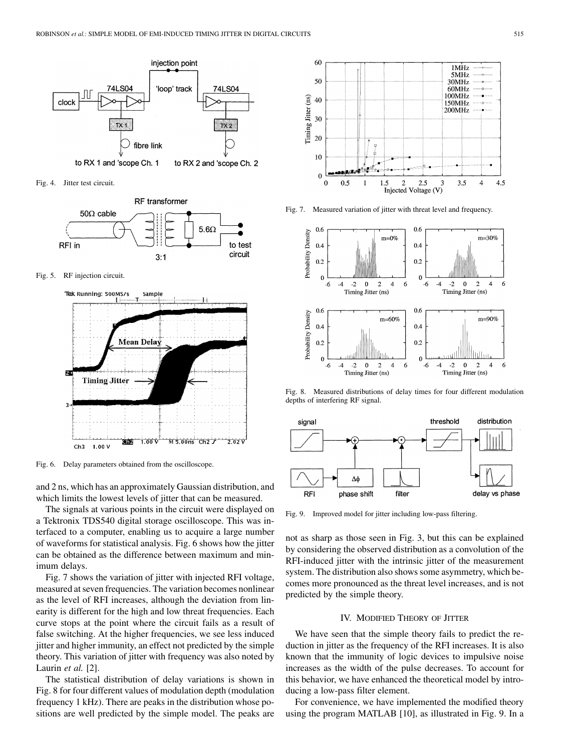

Fig. 4. Jitter test circuit.



Fig. 5. RF injection circuit.



Fig. 6. Delay parameters obtained from the oscilloscope.

and 2 ns, which has an approximately Gaussian distribution, and which limits the lowest levels of jitter that can be measured.

The signals at various points in the circuit were displayed on a Tektronix TDS540 digital storage oscilloscope. This was interfaced to a computer, enabling us to acquire a large number of waveforms for statistical analysis. Fig. 6 shows how the jitter can be obtained as the difference between maximum and minimum delays.

Fig. 7 shows the variation of jitter with injected RFI voltage, measured at seven frequencies. The variation becomes nonlinear as the level of RFI increases, although the deviation from linearity is different for the high and low threat frequencies. Each curve stops at the point where the circuit fails as a result of false switching. At the higher frequencies, we see less induced jitter and higher immunity, an effect not predicted by the simple theory. This variation of jitter with frequency was also noted by Laurin *et al.* [2].

The statistical distribution of delay variations is shown in Fig. 8 for four different values of modulation depth (modulation frequency 1 kHz). There are peaks in the distribution whose positions are well predicted by the simple model. The peaks are



Fig. 7. Measured variation of jitter with threat level and frequency.



Fig. 8. Measured distributions of delay times for four different modulation depths of interfering RF signal.



Fig. 9. Improved model for jitter including low-pass filtering.

not as sharp as those seen in Fig. 3, but this can be explained by considering the observed distribution as a convolution of the RFI-induced jitter with the intrinsic jitter of the measurement system. The distribution also shows some asymmetry, which becomes more pronounced as the threat level increases, and is not predicted by the simple theory.

#### IV. MODIFIED THEORY OF JITTER

We have seen that the simple theory fails to predict the reduction in jitter as the frequency of the RFI increases. It is also known that the immunity of logic devices to impulsive noise increases as the width of the pulse decreases. To account for this behavior, we have enhanced the theoretical model by introducing a low-pass filter element.

For convenience, we have implemented the modified theory using the program MATLAB [10], as illustrated in Fig. 9. In a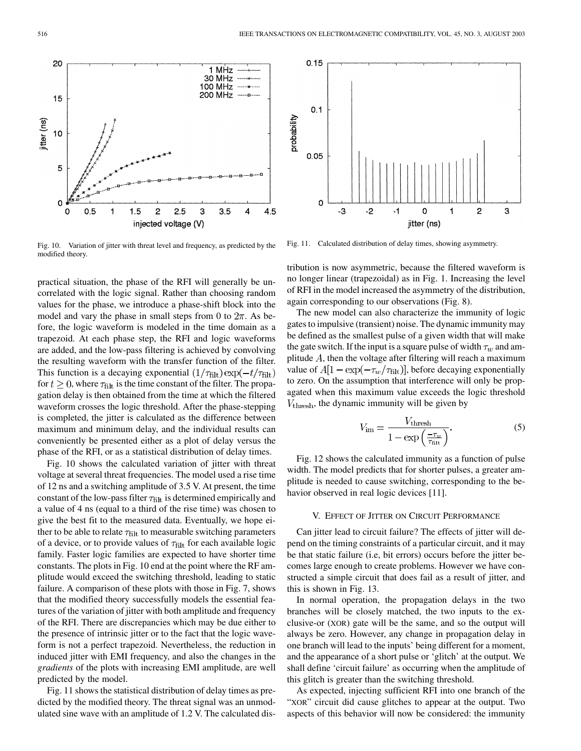$0.15$ 

 $0.1$ 

0.05

 $\mathbf 0$ 

-3

-2

Fig. 10. Variation of jitter with threat level and frequency, as predicted by the modified theory.

practical situation, the phase of the RFI will generally be uncorrelated with the logic signal. Rather than choosing random values for the phase, we introduce a phase-shift block into the model and vary the phase in small steps from 0 to  $2\pi$ . As before, the logic waveform is modeled in the time domain as a trapezoid. At each phase step, the RFI and logic waveforms are added, and the low-pass filtering is achieved by convolving the resulting waveform with the transfer function of the filter. This function is a decaying exponential  $(1/\tau_{\text{filt}}) \exp(-t/\tau_{\text{filt}})$ for  $t \geq 0$ , where  $\tau_{\text{filt}}$  is the time constant of the filter. The propagation delay is then obtained from the time at which the filtered waveform crosses the logic threshold. After the phase-stepping is completed, the jitter is calculated as the difference between maximum and minimum delay, and the individual results can conveniently be presented either as a plot of delay versus the phase of the RFI, or as a statistical distribution of delay times.

Fig. 10 shows the calculated variation of jitter with threat voltage at several threat frequencies. The model used a rise time of 12 ns and a switching amplitude of 3.5 V. At present, the time constant of the low-pass filter  $\tau_{\text{filt}}$  is determined empirically and a value of 4 ns (equal to a third of the rise time) was chosen to give the best fit to the measured data. Eventually, we hope either to be able to relate  $\tau_{\text{filt}}$  to measurable switching parameters of a device, or to provide values of  $\tau_{\text{filt}}$  for each available logic family. Faster logic families are expected to have shorter time constants. The plots in Fig. 10 end at the point where the RF amplitude would exceed the switching threshold, leading to static failure. A comparison of these plots with those in Fig. 7, shows that the modified theory successfully models the essential features of the variation of jitter with both amplitude and frequency of the RFI. There are discrepancies which may be due either to the presence of intrinsic jitter or to the fact that the logic waveform is not a perfect trapezoid. Nevertheless, the reduction in induced jitter with EMI frequency, and also the changes in the *gradients* of the plots with increasing EMI amplitude, are well predicted by the model.

Fig. 11 shows the statistical distribution of delay times as predicted by the modified theory. The threat signal was an unmodulated sine wave with an amplitude of 1.2 V. The calculated dis-

Fig. 11. Calculated distribution of delay times, showing asymmetry.

 $-1$ 

 $\mathbf 0$ 

jitter (ns)

1

 $\overline{2}$ 

3

tribution is now asymmetric, because the filtered waveform is no longer linear (trapezoidal) as in Fig. 1. Increasing the level of RFI in the model increased the asymmetry of the distribution, again corresponding to our observations (Fig. 8).

The new model can also characterize the immunity of logic gates to impulsive (transient) noise. The dynamic immunity may be defined as the smallest pulse of a given width that will make the gate switch. If the input is a square pulse of width  $\tau_w$  and amplitude  $A$ , then the voltage after filtering will reach a maximum value of  $A[1 - \exp(-\tau_w/\tau_{\text{filt}})]$ , before decaying exponentially to zero. On the assumption that interference will only be propagated when this maximum value exceeds the logic threshold  $V_{\text{thresh}}$ , the dynamic immunity will be given by

$$
V_{\text{im}} = \frac{V_{\text{thresh}}}{1 - \exp\left(\frac{-\tau_w}{\tau_{\text{fit}}}\right)}.\tag{5}
$$

Fig. 12 shows the calculated immunity as a function of pulse width. The model predicts that for shorter pulses, a greater amplitude is needed to cause switching, corresponding to the behavior observed in real logic devices [11].

### V. EFFECT OF JITTER ON CIRCUIT PERFORMANCE

Can jitter lead to circuit failure? The effects of jitter will depend on the timing constraints of a particular circuit, and it may be that static failure (i.e, bit errors) occurs before the jitter becomes large enough to create problems. However we have constructed a simple circuit that does fail as a result of jitter, and this is shown in Fig. 13.

In normal operation, the propagation delays in the two branches will be closely matched, the two inputs to the exclusive-or (XOR) gate will be the same, and so the output will always be zero. However, any change in propagation delay in one branch will lead to the inputs' being different for a moment, and the appearance of a short pulse or 'glitch' at the output. We shall define 'circuit failure' as occurring when the amplitude of this glitch is greater than the switching threshold.

As expected, injecting sufficient RFI into one branch of the "XOR" circuit did cause glitches to appear at the output. Two aspects of this behavior will now be considered: the immunity

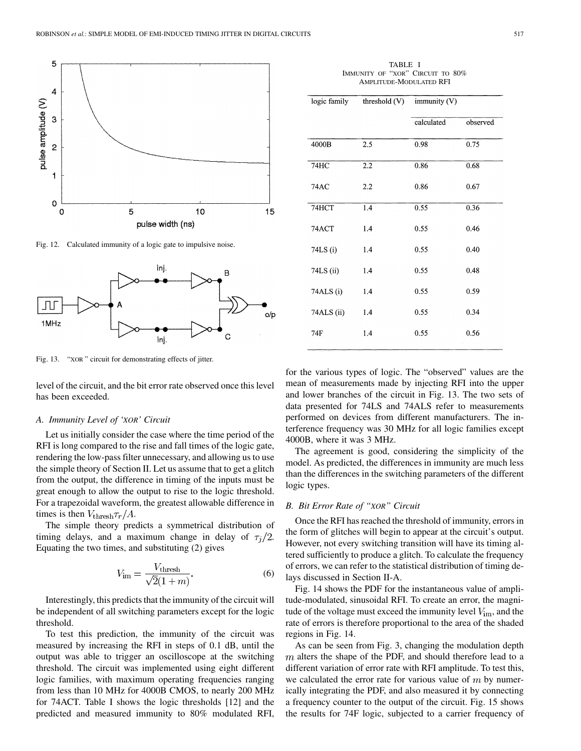

Fig. 12. Calculated immunity of a logic gate to impulsive noise.



Fig. 13. "XOR " circuit for demonstrating effects of jitter.

level of the circuit, and the bit error rate observed once this level has been exceeded.

#### *A. Immunity Level of 'XOR' Circuit*

Let us initially consider the case where the time period of the RFI is long compared to the rise and fall times of the logic gate, rendering the low-pass filter unnecessary, and allowing us to use the simple theory of Section II. Let us assume that to get a glitch from the output, the difference in timing of the inputs must be great enough to allow the output to rise to the logic threshold. For a trapezoidal waveform, the greatest allowable difference in times is then  $V_{\text{thresh}} \tau_r / A$ .

The simple theory predicts a symmetrical distribution of timing delays, and a maximum change in delay of  $\tau_i/2$ . Equating the two times, and substituting (2) gives

$$
V_{\rm im} = \frac{V_{\rm thresh}}{\sqrt{2}(1+m)}.\tag{6}
$$

Interestingly, this predicts that the immunity of the circuit will be independent of all switching parameters except for the logic threshold.

To test this prediction, the immunity of the circuit was measured by increasing the RFI in steps of 0.1 dB, until the output was able to trigger an oscilloscope at the switching threshold. The circuit was implemented using eight different logic families, with maximum operating frequencies ranging from less than 10 MHz for 4000B CMOS, to nearly 200 MHz for 74ACT. Table I shows the logic thresholds [12] and the predicted and measured immunity to 80% modulated RFI,

| TABLE I                          |  |  |  |  |  |
|----------------------------------|--|--|--|--|--|
| IMMUNITY OF "XOR" CIRCUIT TO 80% |  |  |  |  |  |
| AMPLITUDE-MODULATED RFI          |  |  |  |  |  |

| logic family | threshold $(V)$ | immunity $(V)$ |          |
|--------------|-----------------|----------------|----------|
|              |                 | calculated     | observed |
| 4000B        | 2.5             | 0.98           | 0.75     |
| 74HC         | 2.2             | 0.86           | 0.68     |
| <b>74AC</b>  | 2.2             | 0.86           | 0.67     |
| 74HCT        | 1.4             | 0.55           | 0.36     |
| 74ACT        | 1.4             | 0.55           | 0.46     |
| 74LS (i)     | 1.4             | 0.55           | 0.40     |
| 74LS (ii)    | 1.4             | 0.55           | 0.48     |
| 74ALS (i)    | 1.4             | 0.55           | 0.59     |
| 74ALS (ii)   | 1.4             | 0.55           | 0.34     |
| 74F          | 1.4             | 0.55           | 0.56     |

for the various types of logic. The "observed" values are the mean of measurements made by injecting RFI into the upper and lower branches of the circuit in Fig. 13. The two sets of data presented for 74LS and 74ALS refer to measurements performed on devices from different manufacturers. The interference frequency was 30 MHz for all logic families except 4000B, where it was 3 MHz.

The agreement is good, considering the simplicity of the model. As predicted, the differences in immunity are much less than the differences in the switching parameters of the different logic types.

## *B. Bit Error Rate of "XOR" Circuit*

Once the RFI has reached the threshold of immunity, errors in the form of glitches will begin to appear at the circuit's output. However, not every switching transition will have its timing altered sufficiently to produce a glitch. To calculate the frequency of errors, we can refer to the statistical distribution of timing delays discussed in Section II-A.

Fig. 14 shows the PDF for the instantaneous value of amplitude-modulated, sinusoidal RFI. To create an error, the magnitude of the voltage must exceed the immunity level  $V_{\text{im}}$ , and the rate of errors is therefore proportional to the area of the shaded regions in Fig. 14.

As can be seen from Fig. 3, changing the modulation depth  $m$  alters the shape of the PDF, and should therefore lead to a different variation of error rate with RFI amplitude. To test this, we calculated the error rate for various value of  $m$  by numerically integrating the PDF, and also measured it by connecting a frequency counter to the output of the circuit. Fig. 15 shows the results for 74F logic, subjected to a carrier frequency of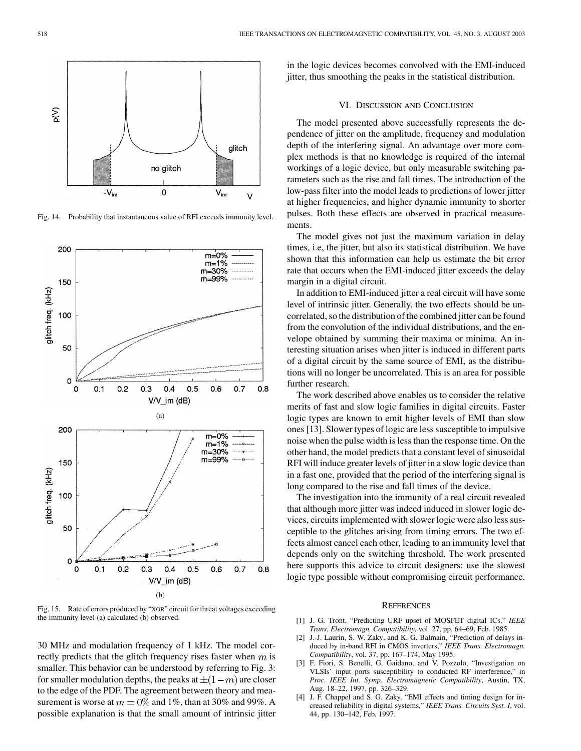

Fig. 14. Probability that instantaneous value of RFI exceeds immunity level.



Fig. 15. Rate of errors produced by "XOR" circuit for threat voltages exceeding the immunity level (a) calculated (b) observed.

30 MHz and modulation frequency of 1 kHz. The model correctly predicts that the glitch frequency rises faster when  $m$  is smaller. This behavior can be understood by referring to Fig. 3: for smaller modulation depths, the peaks at  $\pm (1-m)$  are closer to the edge of the PDF. The agreement between theory and measurement is worse at  $m = 0\%$  and 1%, than at 30% and 99%. A possible explanation is that the small amount of intrinsic jitter in the logic devices becomes convolved with the EMI-induced jitter, thus smoothing the peaks in the statistical distribution.

# VI. DISCUSSION AND CONCLUSION

The model presented above successfully represents the dependence of jitter on the amplitude, frequency and modulation depth of the interfering signal. An advantage over more complex methods is that no knowledge is required of the internal workings of a logic device, but only measurable switching parameters such as the rise and fall times. The introduction of the low-pass filter into the model leads to predictions of lower jitter at higher frequencies, and higher dynamic immunity to shorter pulses. Both these effects are observed in practical measurements.

The model gives not just the maximum variation in delay times, i.e, the jitter, but also its statistical distribution. We have shown that this information can help us estimate the bit error rate that occurs when the EMI-induced jitter exceeds the delay margin in a digital circuit.

In addition to EMI-induced jitter a real circuit will have some level of intrinsic jitter. Generally, the two effects should be uncorrelated, so the distribution of the combined jitter can be found from the convolution of the individual distributions, and the envelope obtained by summing their maxima or minima. An interesting situation arises when jitter is induced in different parts of a digital circuit by the same source of EMI, as the distributions will no longer be uncorrelated. This is an area for possible further research.

The work described above enables us to consider the relative merits of fast and slow logic families in digital circuits. Faster logic types are known to emit higher levels of EMI than slow ones [13]. Slower types of logic are less susceptible to impulsive noise when the pulse width is less than the response time. On the other hand, the model predicts that a constant level of sinusoidal RFI will induce greater levels of jitter in a slow logic device than in a fast one, provided that the period of the interfering signal is long compared to the rise and fall times of the device.

The investigation into the immunity of a real circuit revealed that although more jitter was indeed induced in slower logic devices, circuits implemented with slower logic were also less susceptible to the glitches arising from timing errors. The two effects almost cancel each other, leading to an immunity level that depends only on the switching threshold. The work presented here supports this advice to circuit designers: use the slowest logic type possible without compromising circuit performance.

#### **REFERENCES**

- [1] J. G. Tront, "Predicting URF upset of MOSFET digital ICs," *IEEE Trans. Electromagn. Compatibility*, vol. 27, pp. 64–69, Feb. 1985.
- [2] J.-J. Laurin, S. W. Zaky, and K. G. Balmain, "Prediction of delays induced by in-band RFI in CMOS inverters," *IEEE Trans. Electromagn. Compatibility*, vol. 37, pp. 167–174, May 1995.
- [3] F. Fiori, S. Benelli, G. Gaidano, and V. Pozzolo, "Investigation on VLSIs' input ports susceptibility to conducted RF interference," in *Proc. IEEE Int. Symp. Electromagnetic Compatibility*, Austin, TX, Aug. 18–22, 1997, pp. 326–329.
- J. F. Chappel and S. G. Zaky, "EMI effects and timing design for increased reliability in digital systems," *IEEE Trans. Circuits Syst. I*, vol. 44, pp. 130–142, Feb. 1997.